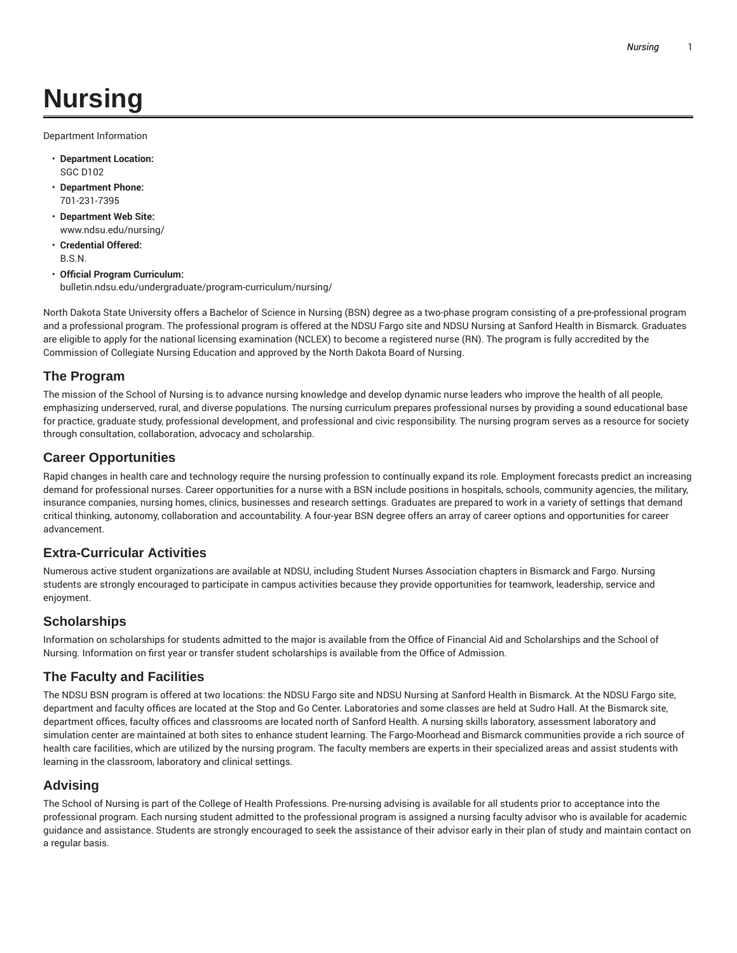# **Nursing**

Department Information

- **Department Location:** SGC D102
- **Department Phone:** 701-231-7395
- **Department Web Site:** www.ndsu.edu/nursing/
- **Credential Offered:** B.S.N.
- **Official Program Curriculum:** bulletin.ndsu.edu/undergraduate/program-curriculum/nursing/

North Dakota State University offers a Bachelor of Science in Nursing (BSN) degree as a two-phase program consisting of a pre-professional program and a professional program. The professional program is offered at the NDSU Fargo site and NDSU Nursing at Sanford Health in Bismarck. Graduates are eligible to apply for the national licensing examination (NCLEX) to become a registered nurse (RN). The program is fully accredited by the Commission of Collegiate Nursing Education and approved by the North Dakota Board of Nursing.

# **The Program**

The mission of the School of Nursing is to advance nursing knowledge and develop dynamic nurse leaders who improve the health of all people, emphasizing underserved, rural, and diverse populations. The nursing curriculum prepares professional nurses by providing a sound educational base for practice, graduate study, professional development, and professional and civic responsibility. The nursing program serves as a resource for society through consultation, collaboration, advocacy and scholarship.

# **Career Opportunities**

Rapid changes in health care and technology require the nursing profession to continually expand its role. Employment forecasts predict an increasing demand for professional nurses. Career opportunities for a nurse with a BSN include positions in hospitals, schools, community agencies, the military, insurance companies, nursing homes, clinics, businesses and research settings. Graduates are prepared to work in a variety of settings that demand critical thinking, autonomy, collaboration and accountability. A four-year BSN degree offers an array of career options and opportunities for career advancement.

# **Extra-Curricular Activities**

Numerous active student organizations are available at NDSU, including Student Nurses Association chapters in Bismarck and Fargo. Nursing students are strongly encouraged to participate in campus activities because they provide opportunities for teamwork, leadership, service and enjoyment.

# **Scholarships**

Information on scholarships for students admitted to the major is available from the Office of Financial Aid and Scholarships and the School of Nursing. Information on first year or transfer student scholarships is available from the Office of Admission.

## **The Faculty and Facilities**

The NDSU BSN program is offered at two locations: the NDSU Fargo site and NDSU Nursing at Sanford Health in Bismarck. At the NDSU Fargo site, department and faculty offices are located at the Stop and Go Center. Laboratories and some classes are held at Sudro Hall. At the Bismarck site, department offices, faculty offices and classrooms are located north of Sanford Health. A nursing skills laboratory, assessment laboratory and simulation center are maintained at both sites to enhance student learning. The Fargo-Moorhead and Bismarck communities provide a rich source of health care facilities, which are utilized by the nursing program. The faculty members are experts in their specialized areas and assist students with learning in the classroom, laboratory and clinical settings.

# **Advising**

The School of Nursing is part of the College of Health Professions. Pre-nursing advising is available for all students prior to acceptance into the professional program. Each nursing student admitted to the professional program is assigned a nursing faculty advisor who is available for academic guidance and assistance. Students are strongly encouraged to seek the assistance of their advisor early in their plan of study and maintain contact on a regular basis.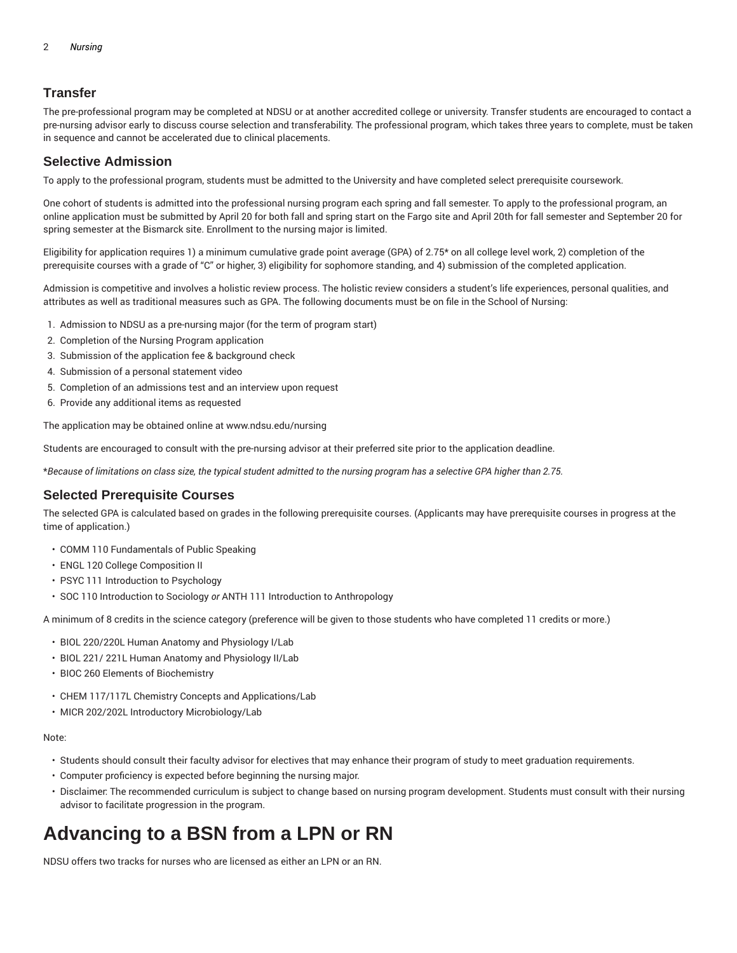# **Transfer**

The pre-professional program may be completed at NDSU or at another accredited college or university. Transfer students are encouraged to contact a pre-nursing advisor early to discuss course selection and transferability. The professional program, which takes three years to complete, must be taken in sequence and cannot be accelerated due to clinical placements.

# **Selective Admission**

To apply to the professional program, students must be admitted to the University and have completed select prerequisite coursework.

One cohort of students is admitted into the professional nursing program each spring and fall semester. To apply to the professional program, an online application must be submitted by April 20 for both fall and spring start on the Fargo site and April 20th for fall semester and September 20 for spring semester at the Bismarck site. Enrollment to the nursing major is limited.

Eligibility for application requires 1) a minimum cumulative grade point average (GPA) of 2.75\* on all college level work, 2) completion of the prerequisite courses with a grade of "C" or higher, 3) eligibility for sophomore standing, and 4) submission of the completed application.

Admission is competitive and involves a holistic review process. The holistic review considers a student's life experiences, personal qualities, and attributes as well as traditional measures such as GPA. The following documents must be on file in the School of Nursing:

- 1. Admission to NDSU as a pre-nursing major (for the term of program start)
- 2. Completion of the Nursing Program application
- 3. Submission of the application fee & background check
- 4. Submission of a personal statement video
- 5. Completion of an admissions test and an interview upon request
- 6. Provide any additional items as requested

The application may be obtained online at www.ndsu.edu/nursing

Students are encouraged to consult with the pre-nursing advisor at their preferred site prior to the application deadline.

\*Because of limitations on class size, the typical student admitted to the nursing program has a selective GPA higher than 2.75.

## **Selected Prerequisite Courses**

The selected GPA is calculated based on grades in the following prerequisite courses. (Applicants may have prerequisite courses in progress at the time of application.)

- COMM 110 Fundamentals of Public Speaking
- ENGL 120 College Composition II
- PSYC 111 Introduction to Psychology
- SOC 110 Introduction to Sociology *or* ANTH 111 Introduction to Anthropology

A minimum of 8 credits in the science category (preference will be given to those students who have completed 11 credits or more.)

- BIOL 220/220L Human Anatomy and Physiology I/Lab
- BIOL 221/ 221L Human Anatomy and Physiology II/Lab
- BIOC 260 Elements of Biochemistry
- CHEM 117/117L Chemistry Concepts and Applications/Lab
- MICR 202/202L Introductory Microbiology/Lab

#### Note:

- Students should consult their faculty advisor for electives that may enhance their program of study to meet graduation requirements.
- Computer proficiency is expected before beginning the nursing major.
- Disclaimer: The recommended curriculum is subject to change based on nursing program development. Students must consult with their nursing advisor to facilitate progression in the program.

# **Advancing to a BSN from a LPN or RN**

NDSU offers two tracks for nurses who are licensed as either an LPN or an RN.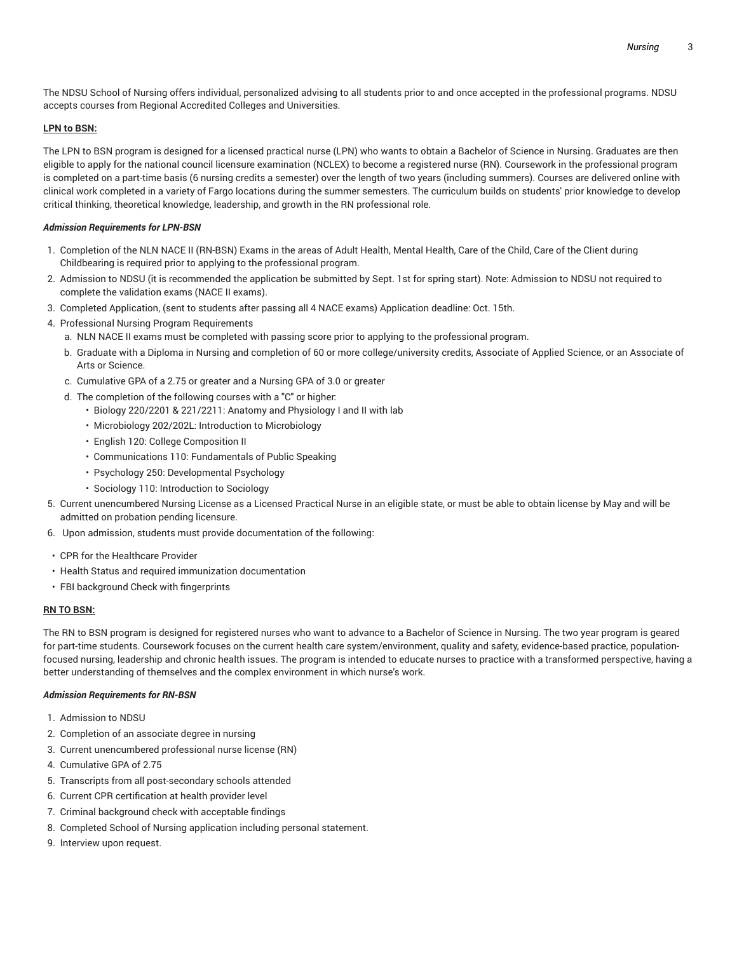The NDSU School of Nursing offers individual, personalized advising to all students prior to and once accepted in the professional programs. NDSU accepts courses from Regional Accredited Colleges and Universities.

### **LPN to BSN:**

The LPN to BSN program is designed for a licensed practical nurse (LPN) who wants to obtain a Bachelor of Science in Nursing. Graduates are then eligible to apply for the national council licensure examination (NCLEX) to become a registered nurse (RN). Coursework in the professional program is completed on a part-time basis (6 nursing credits a semester) over the length of two years (including summers). Courses are delivered online with clinical work completed in a variety of Fargo locations during the summer semesters. The curriculum builds on students' prior knowledge to develop critical thinking, theoretical knowledge, leadership, and growth in the RN professional role.

### *Admission Requirements for LPN-BSN*

- 1. Completion of the NLN NACE II (RN-BSN) Exams in the areas of Adult Health, Mental Health, Care of the Child, Care of the Client during Childbearing is required prior to applying to the professional program.
- 2. Admission to NDSU (it is recommended the application be submitted by Sept. 1st for spring start). Note: Admission to NDSU not required to complete the validation exams (NACE II exams).
- 3. Completed Application, (sent to students after passing all 4 NACE exams) Application deadline: Oct. 15th.
- 4. Professional Nursing Program Requirements
	- a. NLN NACE II exams must be completed with passing score prior to applying to the professional program.
	- b. Graduate with a Diploma in Nursing and completion of 60 or more college/university credits, Associate of Applied Science, or an Associate of Arts or Science.
	- c. Cumulative GPA of a 2.75 or greater and a Nursing GPA of 3.0 or greater
	- d. The completion of the following courses with a "C" or higher:
		- Biology 220/2201 & 221/2211: Anatomy and Physiology I and II with lab
		- Microbiology 202/202L: Introduction to Microbiology
		- English 120: College Composition II
		- Communications 110: Fundamentals of Public Speaking
		- Psychology 250: Developmental Psychology
		- Sociology 110: Introduction to Sociology
- 5. Current unencumbered Nursing License as a Licensed Practical Nurse in an eligible state, or must be able to obtain license by May and will be admitted on probation pending licensure.
- 6. Upon admission, students must provide documentation of the following:
- CPR for the Healthcare Provider
- Health Status and required immunization documentation
- FBI background Check with fingerprints

### **RN TO BSN:**

The RN to BSN program is designed for registered nurses who want to advance to a Bachelor of Science in Nursing. The two year program is geared for part-time students. Coursework focuses on the current health care system/environment, quality and safety, evidence-based practice, populationfocused nursing, leadership and chronic health issues. The program is intended to educate nurses to practice with a transformed perspective, having a better understanding of themselves and the complex environment in which nurse's work.

### *Admission Requirements for RN-BSN*

- 1. Admission to NDSU
- 2. Completion of an associate degree in nursing
- 3. Current unencumbered professional nurse license (RN)
- 4. Cumulative GPA of 2.75
- 5. Transcripts from all post-secondary schools attended
- 6. Current CPR certification at health provider level
- 7. Criminal background check with acceptable findings
- 8. Completed School of Nursing application including personal statement.
- 9. Interview upon request.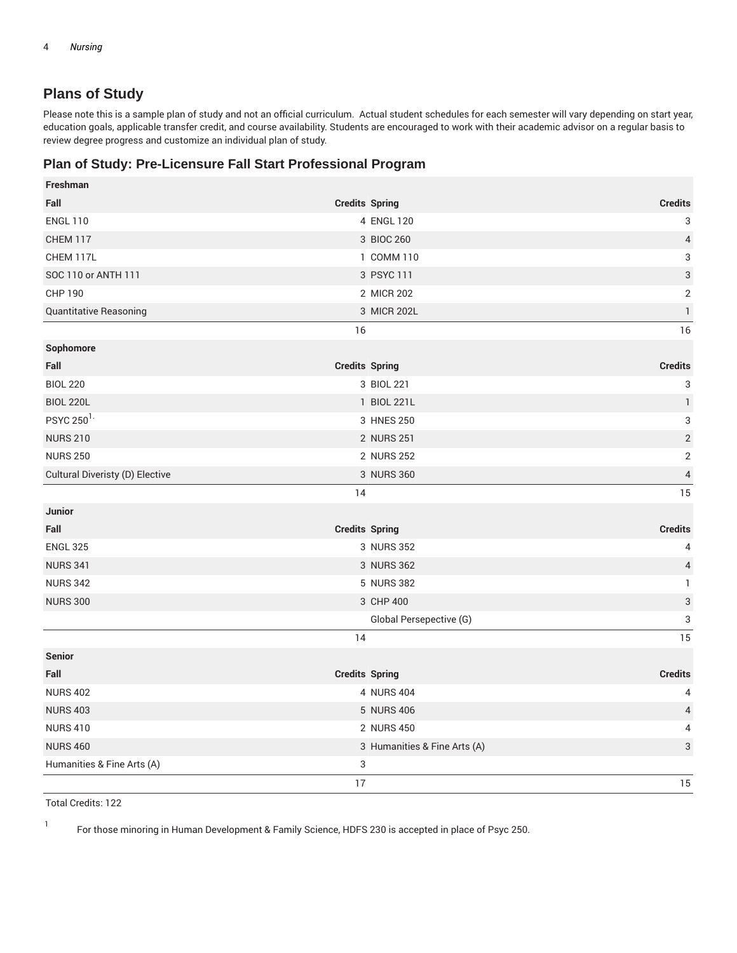# **Plans of Study**

Please note this is a sample plan of study and not an official curriculum. Actual student schedules for each semester will vary depending on start year, education goals, applicable transfer credit, and course availability. Students are encouraged to work with their academic advisor on a regular basis to review degree progress and customize an individual plan of study.

# **Plan of Study: Pre-Licensure Fall Start Professional Program**

| Freshman                        |                              |                           |
|---------------------------------|------------------------------|---------------------------|
| Fall                            | <b>Credits Spring</b>        | <b>Credits</b>            |
| <b>ENGL 110</b>                 | 4 ENGL 120                   | 3                         |
| CHEM 117                        | 3 BIOC 260                   | $\sqrt{4}$                |
| CHEM 117L                       | 1 COMM 110                   | 3                         |
| SOC 110 or ANTH 111             | 3 PSYC 111                   | $\ensuremath{\mathsf{3}}$ |
| <b>CHP 190</b>                  | 2 MICR 202                   | $\sqrt{2}$                |
| Quantitative Reasoning          | 3 MICR 202L                  | $\mathbf{1}$              |
|                                 | 16                           | 16                        |
| Sophomore                       |                              |                           |
| Fall                            | <b>Credits Spring</b>        | <b>Credits</b>            |
| <b>BIOL 220</b>                 | 3 BIOL 221                   | 3                         |
| <b>BIOL 220L</b>                | 1 BIOL 221L                  | $\mathbf{1}$              |
| PSYC 250 <sup>1.</sup>          | 3 HNES 250                   | $\ensuremath{\mathsf{3}}$ |
| <b>NURS 210</b>                 | 2 NURS 251                   | $\sqrt{2}$                |
| <b>NURS 250</b>                 | 2 NURS 252                   | $\overline{2}$            |
| Cultural Diveristy (D) Elective | 3 NURS 360                   | $\overline{4}$            |
|                                 | 14                           | 15                        |
| <b>Junior</b>                   |                              |                           |
| Fall                            | <b>Credits Spring</b>        | <b>Credits</b>            |
| <b>ENGL 325</b>                 | 3 NURS 352                   | 4                         |
| <b>NURS 341</b>                 | 3 NURS 362                   | $\overline{4}$            |
| <b>NURS 342</b>                 | 5 NURS 382                   | $\mathbf{1}$              |
| <b>NURS 300</b>                 | 3 CHP 400                    | $\sqrt{3}$                |
|                                 | Global Persepective (G)      | 3                         |
|                                 | 14                           | 15                        |
| <b>Senior</b>                   |                              |                           |
| Fall                            | <b>Credits Spring</b>        | <b>Credits</b>            |
| <b>NURS 402</b>                 | 4 NURS 404                   | 4                         |
| <b>NURS 403</b>                 | 5 NURS 406                   | $\overline{4}$            |
| <b>NURS 410</b>                 | 2 NURS 450                   | 4                         |
| <b>NURS 460</b>                 | 3 Humanities & Fine Arts (A) | $\ensuremath{\mathsf{3}}$ |
| Humanities & Fine Arts (A)      | 3                            |                           |
|                                 | 17                           | 15                        |

Total Credits: 122

1

For those minoring in Human Development & Family Science, HDFS 230 is accepted in place of Psyc 250.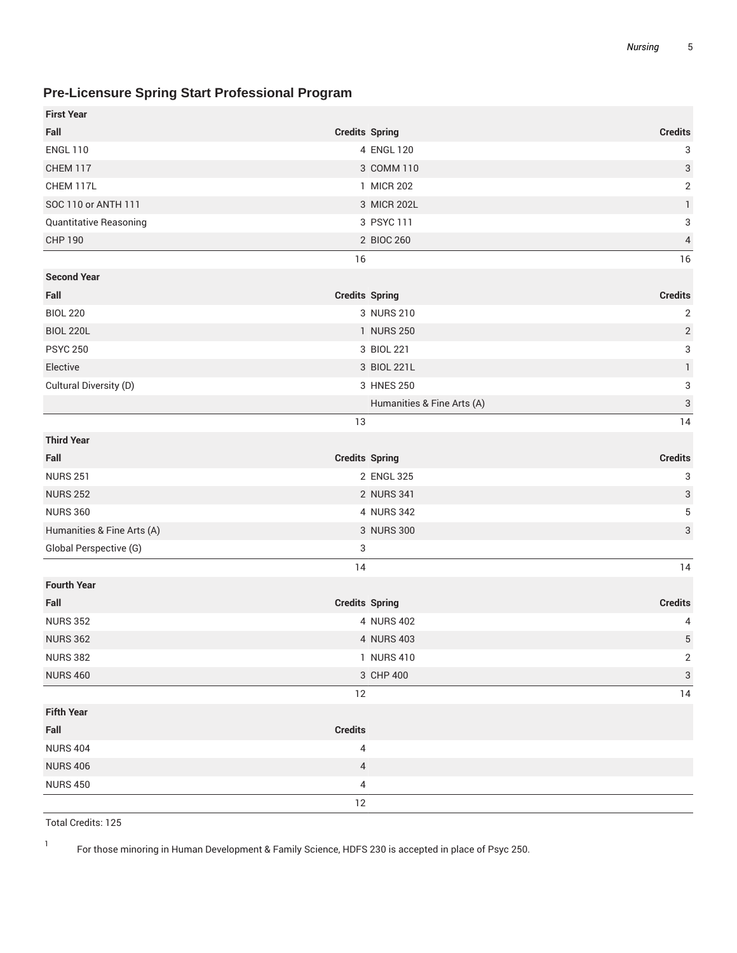# **Pre-Licensure Spring Start Professional Program**

| <b>First Year</b>          |                            |                           |
|----------------------------|----------------------------|---------------------------|
| Fall                       | <b>Credits Spring</b>      | <b>Credits</b>            |
| <b>ENGL 110</b>            | 4 ENGL 120                 | 3                         |
| <b>CHEM 117</b>            | 3 COMM 110                 | $\ensuremath{\mathsf{3}}$ |
| CHEM 117L                  | 1 MICR 202                 | $\sqrt{2}$                |
| SOC 110 or ANTH 111        | 3 MICR 202L                | $\mathbf{1}$              |
| Quantitative Reasoning     | 3 PSYC 111                 | 3                         |
| <b>CHP 190</b>             | 2 BIOC 260                 | $\overline{4}$            |
|                            | 16                         | 16                        |
| <b>Second Year</b>         |                            |                           |
| Fall                       | <b>Credits Spring</b>      | <b>Credits</b>            |
| <b>BIOL 220</b>            | 3 NURS 210                 | $\overline{c}$            |
| <b>BIOL 220L</b>           | 1 NURS 250                 | $\overline{2}$            |
| <b>PSYC 250</b>            | 3 BIOL 221                 | 3                         |
| Elective                   | 3 BIOL 221L                | $\mathbf{1}$              |
| Cultural Diversity (D)     | 3 HNES 250                 | 3                         |
|                            | Humanities & Fine Arts (A) | $\ensuremath{\mathsf{3}}$ |
|                            | 13                         | 14                        |
| <b>Third Year</b>          |                            |                           |
| Fall                       | <b>Credits Spring</b>      | <b>Credits</b>            |
| <b>NURS 251</b>            | 2 ENGL 325                 | 3                         |
| <b>NURS 252</b>            | 2 NURS 341                 | $\ensuremath{\mathsf{3}}$ |
| <b>NURS 360</b>            | 4 NURS 342                 | 5                         |
| Humanities & Fine Arts (A) | 3 NURS 300                 | 3                         |
| Global Perspective (G)     | $\sqrt{3}$                 |                           |
|                            | 14                         | 14                        |
| <b>Fourth Year</b>         |                            |                           |
| Fall                       | <b>Credits Spring</b>      | <b>Credits</b>            |
| <b>NURS 352</b>            | 4 NURS 402                 | 4                         |
| <b>NURS 362</b>            | 4 NURS 403                 | $\,$ 5 $\,$               |
| <b>NURS 382</b>            | 1 NURS 410                 | $\sqrt{2}$                |
| <b>NURS 460</b>            | 3 CHP 400                  | $\sqrt{3}$                |
|                            | $12\,$                     | 14                        |
| <b>Fifth Year</b>          |                            |                           |
| Fall                       | <b>Credits</b>             |                           |
| <b>NURS 404</b>            | $\sqrt{4}$                 |                           |
| <b>NURS 406</b>            | $\overline{4}$             |                           |
| <b>NURS 450</b>            | $\sqrt{4}$                 |                           |
|                            | 12                         |                           |

Total Credits: 125

1 For those minoring in Human Development & Family Science, HDFS 230 is accepted in place of Psyc 250.